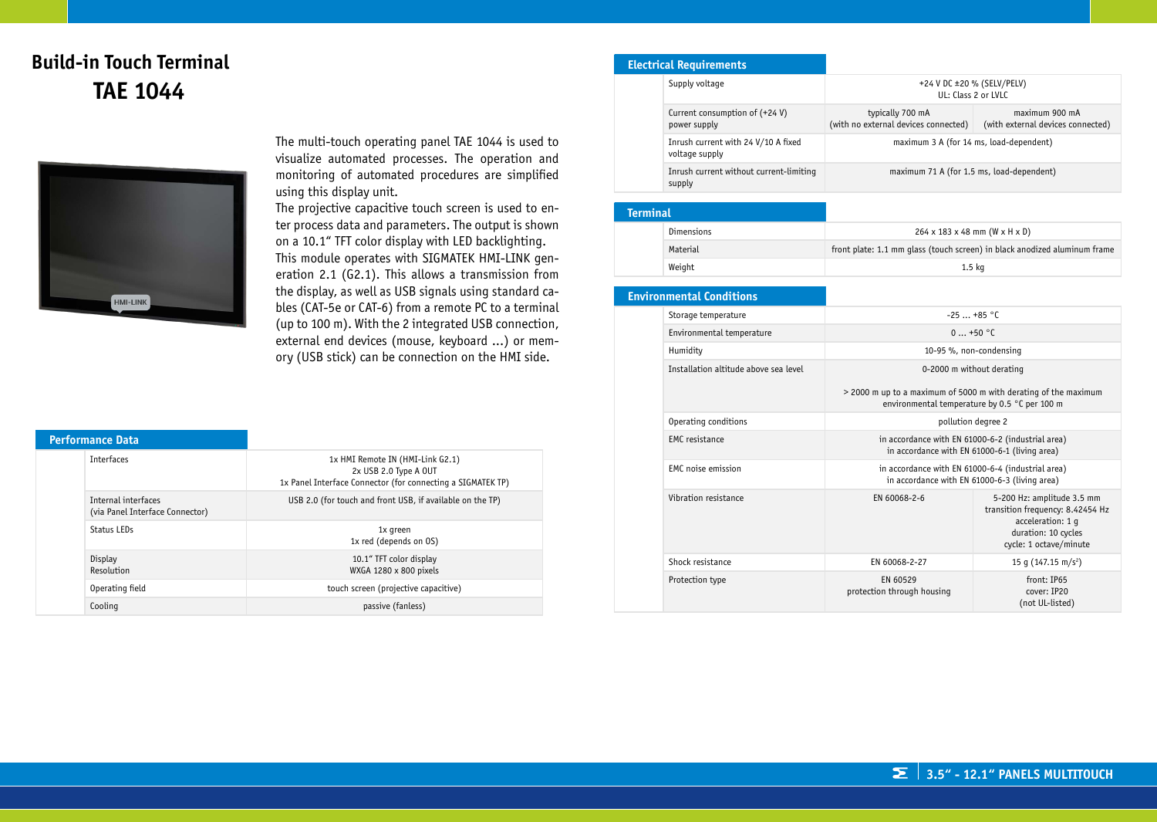# **Build-in Touch Terminal TAE 1044**



The multi-touch operating panel TAE 1044 is used to visualize automated processes. The operation and monitoring of automated procedures are simplified using this display unit.

The projective capacitive touch screen is used to enter process data and parameters. The output is shown on a 10.1" TFT color display with LED backlighting. This module operates with SIGMATEK HMI-LINK generation 2.1 (G2.1). This allows a transmission from the display, as well as USB signals using standard cables (CAT-5e or CAT-6) from a remote PC to a terminal (up to 100 m). With the 2 integrated USB connection, external end devices (mouse, keyboard ...) or memory (USB stick) can be connection on the HMI side.

| <b>Performance Data</b> |                                 |                                                                                                                          |
|-------------------------|---------------------------------|--------------------------------------------------------------------------------------------------------------------------|
| <b>Interfaces</b>       |                                 | 1x HMI Remote IN (HMI-Link G2.1)<br>2x USB 2.0 Type A OUT<br>1x Panel Interface Connector (for connecting a SIGMATEK TP) |
| Internal interfaces     | (via Panel Interface Connector) | USB 2.0 (for touch and front USB, if available on the TP)                                                                |
| Status LEDs             |                                 | 1x green<br>1x red (depends on OS)                                                                                       |
| Display<br>Resolution   |                                 | 10.1" TFT color display<br>WXGA 1280 x 800 pixels                                                                        |
| Operating field         |                                 | touch screen (projective capacitive)                                                                                     |
| Cooling                 |                                 | passive (fanless)                                                                                                        |

#### **Electrical Requirements**

|  | Supply voltage                                        | +24 V DC ±20 % (SELV/PELV)<br>UL: Class 2 or LVLC        |                                                     |
|--|-------------------------------------------------------|----------------------------------------------------------|-----------------------------------------------------|
|  | Current consumption of $(+24 V)$<br>power supply      | typically 700 mA<br>(with no external devices connected) | maximum 900 mA<br>(with external devices connected) |
|  | Inrush current with 24 V/10 A fixed<br>voltage supply | maximum 3 A (for 14 ms, load-dependent)                  |                                                     |
|  | Inrush current without current-limiting<br>supply     | maximum 71 A (for 1.5 ms, load-dependent)                |                                                     |

| <b>Terminal</b> |            |                                                                           |
|-----------------|------------|---------------------------------------------------------------------------|
|                 | Dimensions | $264 \times 183 \times 48$ mm (W x H x D)                                 |
|                 | Material   | front plate: 1.1 mm glass (touch screen) in black anodized aluminum frame |
|                 | Weight     | 1.5 <sub>kq</sub>                                                         |

#### **Environmental Conditions** Storage temperature  $-25$  ... +85 °C Environmental temperature 0 ... +50 °C Humidity 10-95 %, non-condensing Installation altitude above sea level 0-2000 m without derating > 2000 m up to a maximum of 5000 m with derating of the maximum environmental temperature by 0.5 °C per 100 m Operating conditions **pollution** degree 2 EMC resistance in accordance with EN 61000-6-2 (industrial area) in accordance with EN 61000-6-1 (living area) EMC noise emission **in accordance with EN 61000-6-4 (industrial area)** in accordance with EN 61000-6-3 (living area) Vibration resistance **EN 60068-2-6** EN 60068-2-6 5-200 Hz: amplitude 3.5 mm transition frequency: 8.42454 Hz acceleration: 1 g duration: 10 cycles cycle: 1 octave/minute Shock resistance  $\left| \right|$  EN 60068-2-27  $\left| \right|$  15 g (147.15 m/s<sup>2</sup>) Protection type EN 60529 protection through housing front: IP65 cover: IP20 (not UL-listed)